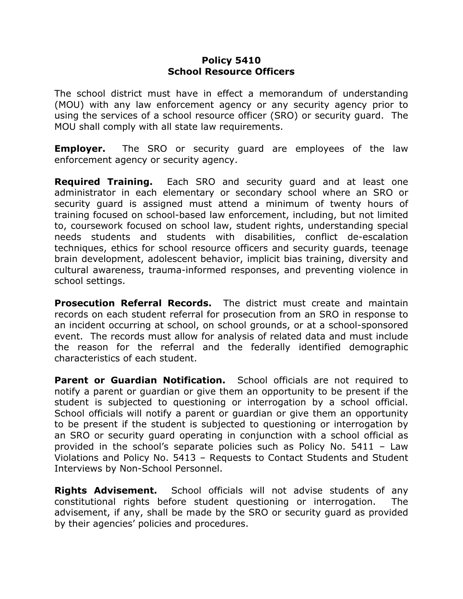## **Policy 5410 School Resource Officers**

The school district must have in effect a memorandum of understanding (MOU) with any law enforcement agency or any security agency prior to using the services of a school resource officer (SRO) or security guard. The MOU shall comply with all state law requirements.

**Employer.** The SRO or security guard are employees of the law enforcement agency or security agency.

**Required Training.** Each SRO and security guard and at least one administrator in each elementary or secondary school where an SRO or security guard is assigned must attend a minimum of twenty hours of training focused on school-based law enforcement, including, but not limited to, coursework focused on school law, student rights, understanding special needs students and students with disabilities, conflict de-escalation techniques, ethics for school resource officers and security guards, teenage brain development, adolescent behavior, implicit bias training, diversity and cultural awareness, trauma-informed responses, and preventing violence in school settings.

**Prosecution Referral Records.** The district must create and maintain records on each student referral for prosecution from an SRO in response to an incident occurring at school, on school grounds, or at a school-sponsored event. The records must allow for analysis of related data and must include the reason for the referral and the federally identified demographic characteristics of each student.

**Parent or Guardian Notification.** School officials are not required to notify a parent or guardian or give them an opportunity to be present if the student is subjected to questioning or interrogation by a school official. School officials will notify a parent or guardian or give them an opportunity to be present if the student is subjected to questioning or interrogation by an SRO or security guard operating in conjunction with a school official as provided in the school's separate policies such as Policy No. 5411 – Law Violations and Policy No. 5413 – Requests to Contact Students and Student Interviews by Non-School Personnel.

**Rights Advisement.** School officials will not advise students of any constitutional rights before student questioning or interrogation. The advisement, if any, shall be made by the SRO or security guard as provided by their agencies' policies and procedures.